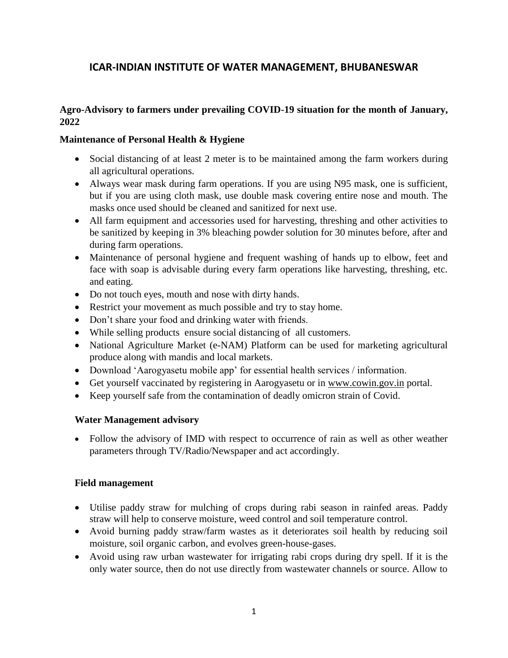# **ICAR-INDIAN INSTITUTE OF WATER MANAGEMENT, BHUBANESWAR**

### **Agro-Advisory to farmers under prevailing COVID-19 situation for the month of January, 2022**

#### **Maintenance of Personal Health & Hygiene**

- Social distancing of at least 2 meter is to be maintained among the farm workers during all agricultural operations.
- Always wear mask during farm operations. If you are using N95 mask, one is sufficient, but if you are using cloth mask, use double mask covering entire nose and mouth. The masks once used should be cleaned and sanitized for next use.
- All farm equipment and accessories used for harvesting, threshing and other activities to be sanitized by keeping in 3% bleaching powder solution for 30 minutes before, after and during farm operations.
- Maintenance of personal hygiene and frequent washing of hands up to elbow, feet and face with soap is advisable during every farm operations like harvesting, threshing, etc. and eating.
- Do not touch eyes, mouth and nose with dirty hands.
- Restrict your movement as much possible and try to stay home.
- Don't share your food and drinking water with friends.
- While selling products ensure social distancing of all customers.
- National Agriculture Market (e-NAM) Platform can be used for marketing agricultural produce along with mandis and local markets.
- Download 'Aarogyasetu mobile app' for essential health services / information.
- Get yourself vaccinated by registering in Aarogyasetu or in [www.cowin.gov.in](http://www.cowin.gov.in/) portal.
- Keep yourself safe from the contamination of deadly omicron strain of Covid.

#### **Water Management advisory**

 Follow the advisory of IMD with respect to occurrence of rain as well as other weather parameters through TV/Radio/Newspaper and act accordingly.

#### **Field management**

- Utilise paddy straw for mulching of crops during rabi season in rainfed areas. Paddy straw will help to conserve moisture, weed control and soil temperature control.
- Avoid burning paddy straw/farm wastes as it deteriorates soil health by reducing soil moisture, soil organic carbon, and evolves green-house-gases.
- Avoid using raw urban wastewater for irrigating rabi crops during dry spell. If it is the only water source, then do not use directly from wastewater channels or source. Allow to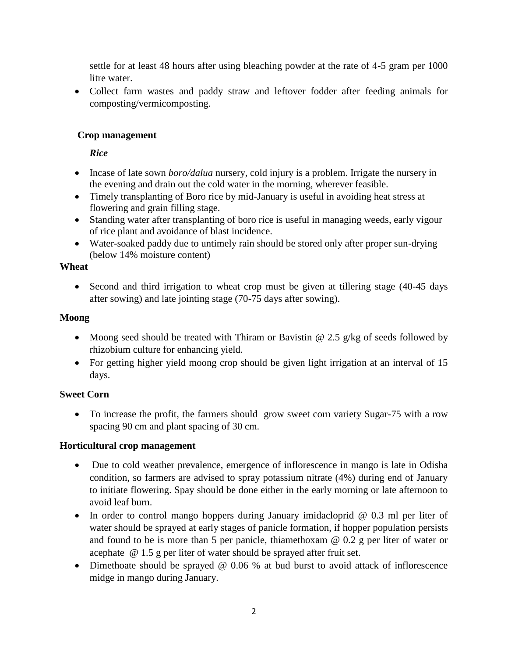settle for at least 48 hours after using bleaching powder at the rate of 4-5 gram per 1000 litre water.

 Collect farm wastes and paddy straw and leftover fodder after feeding animals for composting/vermicomposting.

## **Crop management**

### *Rice*

- Incase of late sown *boro/dalua* nursery, cold injury is a problem. Irrigate the nursery in the evening and drain out the cold water in the morning, wherever feasible.
- Timely transplanting of Boro rice by mid-January is useful in avoiding heat stress at flowering and grain filling stage.
- Standing water after transplanting of boro rice is useful in managing weeds, early vigour of rice plant and avoidance of blast incidence.
- Water-soaked paddy due to untimely rain should be stored only after proper sun-drying (below 14% moisture content)

#### **Wheat**

 Second and third irrigation to wheat crop must be given at tillering stage (40-45 days after sowing) and late jointing stage (70-75 days after sowing).

## **Moong**

- Moong seed should be treated with Thiram or Bavistin  $\omega$  2.5 g/kg of seeds followed by rhizobium culture for enhancing yield.
- For getting higher yield moong crop should be given light irrigation at an interval of 15 days.

## **Sweet Corn**

 To increase the profit, the farmers should grow sweet corn variety Sugar-75 with a row spacing 90 cm and plant spacing of 30 cm.

## **Horticultural crop management**

- Due to cold weather prevalence, emergence of inflorescence in mango is late in Odisha condition, so farmers are advised to spray potassium nitrate (4%) during end of January to initiate flowering. Spay should be done either in the early morning or late afternoon to avoid leaf burn.
- In order to control mango hoppers during January imidacloprid  $@$  0.3 ml per liter of water should be sprayed at early stages of panicle formation, if hopper population persists and found to be is more than 5 per panicle, thiamethoxam @ 0.2 g per liter of water or acephate @ 1.5 g per liter of water should be sprayed after fruit set.
- Dimethoate should be sprayed @ 0.06 % at bud burst to avoid attack of inflorescence midge in mango during January.